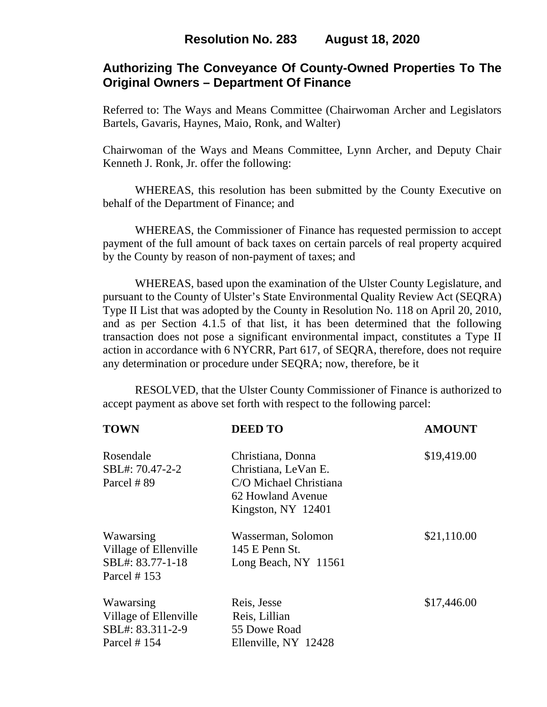# **Authorizing The Conveyance Of County-Owned Properties To The Original Owners – Department Of Finance**

Referred to: The Ways and Means Committee (Chairwoman Archer and Legislators Bartels, Gavaris, Haynes, Maio, Ronk, and Walter)

Chairwoman of the Ways and Means Committee, Lynn Archer, and Deputy Chair Kenneth J. Ronk, Jr. offer the following:

WHEREAS, this resolution has been submitted by the County Executive on behalf of the Department of Finance; and

 WHEREAS, the Commissioner of Finance has requested permission to accept payment of the full amount of back taxes on certain parcels of real property acquired by the County by reason of non-payment of taxes; and

WHEREAS, based upon the examination of the Ulster County Legislature, and pursuant to the County of Ulster's State Environmental Quality Review Act (SEQRA) Type II List that was adopted by the County in Resolution No. 118 on April 20, 2010, and as per Section 4.1.5 of that list, it has been determined that the following transaction does not pose a significant environmental impact, constitutes a Type II action in accordance with 6 NYCRR, Part 617, of SEQRA, therefore, does not require any determination or procedure under SEQRA; now, therefore, be it

 RESOLVED, that the Ulster County Commissioner of Finance is authorized to accept payment as above set forth with respect to the following parcel:

| <b>TOWN</b>                                                            | <b>DEED TO</b>                                                                                                 | <b>AMOUNT</b> |
|------------------------------------------------------------------------|----------------------------------------------------------------------------------------------------------------|---------------|
| Rosendale<br>SBL#: 70.47-2-2<br>Parcel #89                             | Christiana, Donna<br>Christiana, LeVan E.<br>C/O Michael Christiana<br>62 Howland Avenue<br>Kingston, NY 12401 | \$19,419.00   |
| Wawarsing<br>Village of Ellenville<br>SBL#: 83.77-1-18<br>Parcel # 153 | Wasserman, Solomon<br>145 E Penn St.<br>Long Beach, NY 11561                                                   | \$21,110.00   |
| Wawarsing<br>Village of Ellenville<br>SBL#: 83.311-2-9<br>Parcel # 154 | Reis, Jesse<br>Reis, Lillian<br>55 Dowe Road<br>Ellenville, NY 12428                                           | \$17,446.00   |